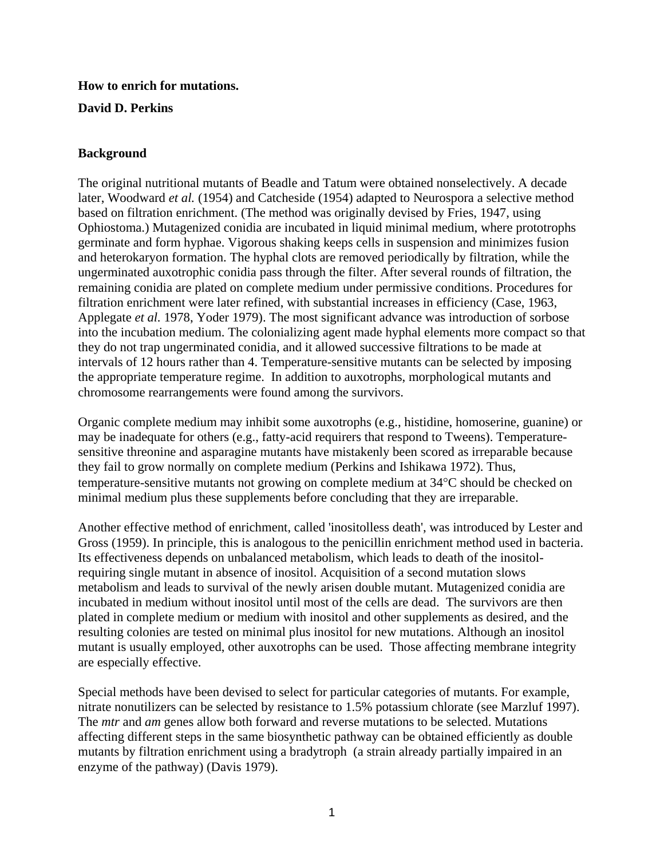# **How to enrich for mutations.**

## **David D. Perkins**

## **Background**

The original nutritional mutants of Beadle and Tatum were obtained nonselectively. A decade later, Woodward *et al.* (1954) and Catcheside (1954) adapted to Neurospora a selective method based on filtration enrichment. (The method was originally devised by Fries, 1947, using Ophiostoma.) Mutagenized conidia are incubated in liquid minimal medium, where prototrophs germinate and form hyphae. Vigorous shaking keeps cells in suspension and minimizes fusion and heterokaryon formation. The hyphal clots are removed periodically by filtration, while the ungerminated auxotrophic conidia pass through the filter. After several rounds of filtration, the remaining conidia are plated on complete medium under permissive conditions. Procedures for filtration enrichment were later refined, with substantial increases in efficiency (Case, 1963, Applegate *et al.* 1978, Yoder 1979). The most significant advance was introduction of sorbose into the incubation medium. The colonializing agent made hyphal elements more compact so that they do not trap ungerminated conidia, and it allowed successive filtrations to be made at intervals of 12 hours rather than 4. Temperature-sensitive mutants can be selected by imposing the appropriate temperature regime. In addition to auxotrophs, morphological mutants and chromosome rearrangements were found among the survivors.

Organic complete medium may inhibit some auxotrophs (e.g., histidine, homoserine, guanine) or may be inadequate for others (e.g., fatty-acid requirers that respond to Tweens). Temperaturesensitive threonine and asparagine mutants have mistakenly been scored as irreparable because they fail to grow normally on complete medium (Perkins and Ishikawa 1972). Thus, temperature-sensitive mutants not growing on complete medium at 34°C should be checked on minimal medium plus these supplements before concluding that they are irreparable.

Another effective method of enrichment, called 'inositolless death', was introduced by Lester and Gross (1959). In principle, this is analogous to the penicillin enrichment method used in bacteria. Its effectiveness depends on unbalanced metabolism, which leads to death of the inositolrequiring single mutant in absence of inositol. Acquisition of a second mutation slows metabolism and leads to survival of the newly arisen double mutant. Mutagenized conidia are incubated in medium without inositol until most of the cells are dead. The survivors are then plated in complete medium or medium with inositol and other supplements as desired, and the resulting colonies are tested on minimal plus inositol for new mutations. Although an inositol mutant is usually employed, other auxotrophs can be used. Those affecting membrane integrity are especially effective.

Special methods have been devised to select for particular categories of mutants. For example, nitrate nonutilizers can be selected by resistance to 1.5% potassium chlorate (see Marzluf 1997). The *mtr* and *am* genes allow both forward and reverse mutations to be selected. Mutations affecting different steps in the same biosynthetic pathway can be obtained efficiently as double mutants by filtration enrichment using a bradytroph (a strain already partially impaired in an enzyme of the pathway) (Davis 1979).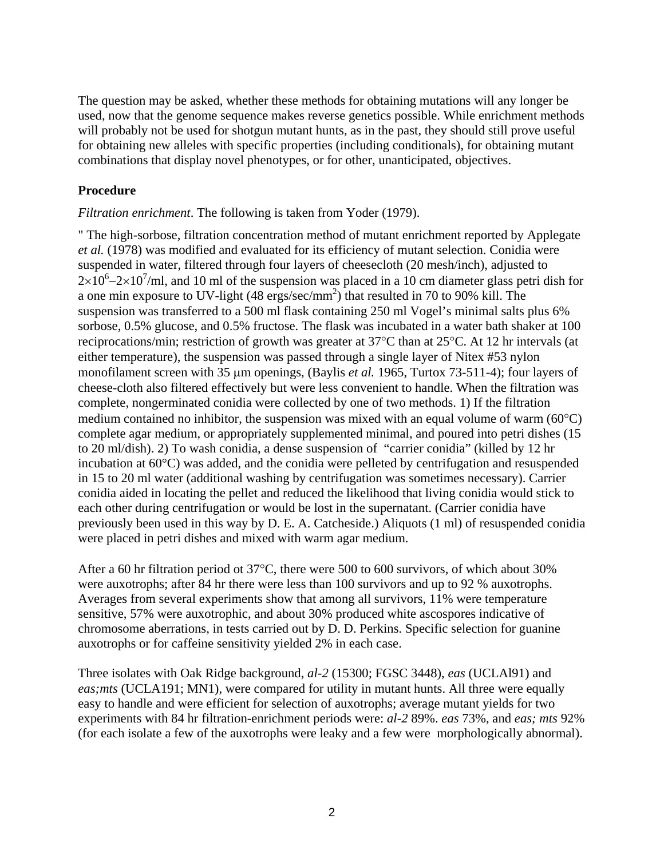The question may be asked, whether these methods for obtaining mutations will any longer be used, now that the genome sequence makes reverse genetics possible. While enrichment methods will probably not be used for shotgun mutant hunts, as in the past, they should still prove useful for obtaining new alleles with specific properties (including conditionals), for obtaining mutant combinations that display novel phenotypes, or for other, unanticipated, objectives.

## **Procedure**

#### *Filtration enrichment*. The following is taken from Yoder (1979).

" The high-sorbose, filtration concentration method of mutant enrichment reported by Applegate *et al.* (1978) was modified and evaluated for its efficiency of mutant selection. Conidia were suspended in water, filtered through four layers of cheesecloth (20 mesh/inch), adjusted to  $2 \times 10^{6} - 2 \times 10^{7}$ /ml, and 10 ml of the suspension was placed in a 10 cm diameter glass petri dish for a one min exposure to UV-light  $(48 \text{ ergs/sec/mm}^2)$  that resulted in 70 to 90% kill. The suspension was transferred to a 500 ml flask containing 250 ml Vogel's minimal salts plus 6% sorbose, 0.5% glucose, and 0.5% fructose. The flask was incubated in a water bath shaker at 100 reciprocations/min; restriction of growth was greater at 37°C than at 25°C. At 12 hr intervals (at either temperature), the suspension was passed through a single layer of Nitex #53 nylon monofilament screen with 35  $\mu$ m openings, (Baylis *et al.* 1965, Turtox 73-511-4); four layers of cheese-cloth also filtered effectively but were less convenient to handle. When the filtration was complete, nongerminated conidia were collected by one of two methods. 1) If the filtration medium contained no inhibitor, the suspension was mixed with an equal volume of warm  $(60^{\circ}C)$ complete agar medium, or appropriately supplemented minimal, and poured into petri dishes (15 to 20 ml/dish). 2) To wash conidia, a dense suspension of "carrier conidia" (killed by 12 hr incubation at 60°C) was added, and the conidia were pelleted by centrifugation and resuspended in 15 to 20 ml water (additional washing by centrifugation was sometimes necessary). Carrier conidia aided in locating the pellet and reduced the likelihood that living conidia would stick to each other during centrifugation or would be lost in the supernatant. (Carrier conidia have previously been used in this way by D. E. A. Catcheside.) Aliquots (1 ml) of resuspended conidia were placed in petri dishes and mixed with warm agar medium.

After a 60 hr filtration period ot 37°C, there were 500 to 600 survivors, of which about 30% were auxotrophs; after 84 hr there were less than 100 survivors and up to 92 % auxotrophs. Averages from several experiments show that among all survivors, 11% were temperature sensitive, 57% were auxotrophic, and about 30% produced white ascospores indicative of chromosome aberrations, in tests carried out by D. D. Perkins. Specific selection for guanine auxotrophs or for caffeine sensitivity yielded 2% in each case.

Three isolates with Oak Ridge background, *al-2* (15300; FGSC 3448), *eas* (UCLAl91) and *eas;mts* (UCLA191; MN1), were compared for utility in mutant hunts. All three were equally easy to handle and were efficient for selection of auxotrophs; average mutant yields for two experiments with 84 hr filtration-enrichment periods were: *al-2* 89%. *eas* 73%, and *eas; mts* 92% (for each isolate a few of the auxotrophs were leaky and a few were morphologically abnormal).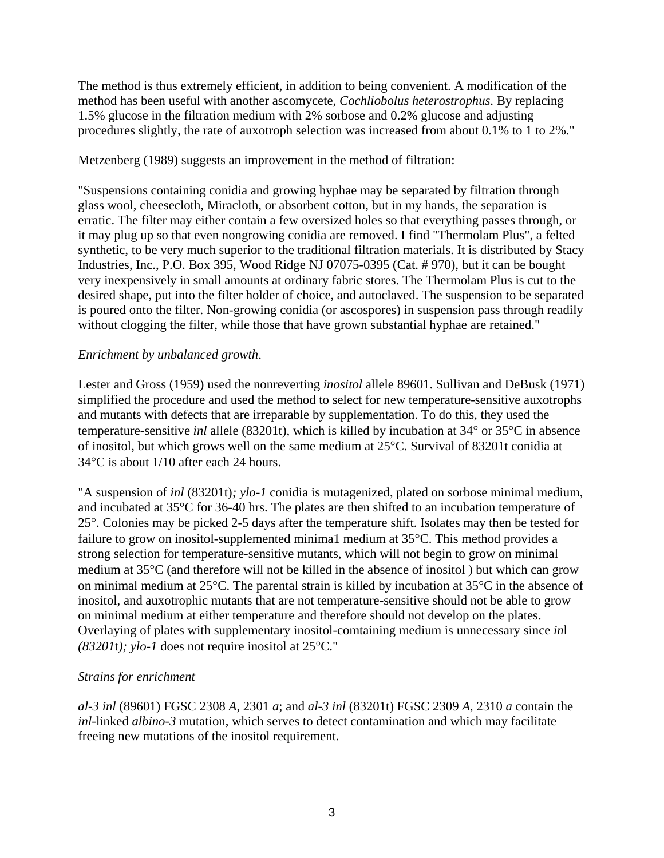The method is thus extremely efficient, in addition to being convenient. A modification of the method has been useful with another ascomycete, *Cochliobolus heterostrophus*. By replacing 1.5% glucose in the filtration medium with 2% sorbose and 0.2% glucose and adjusting procedures slightly, the rate of auxotroph selection was increased from about 0.1% to 1 to 2%."

### Metzenberg (1989) suggests an improvement in the method of filtration:

"Suspensions containing conidia and growing hyphae may be separated by filtration through glass wool, cheesecloth, Miracloth, or absorbent cotton, but in my hands, the separation is erratic. The filter may either contain a few oversized holes so that everything passes through, or it may plug up so that even nongrowing conidia are removed. I find "Thermolam Plus", a felted synthetic, to be very much superior to the traditional filtration materials. It is distributed by Stacy Industries, Inc., P.O. Box 395, Wood Ridge NJ 07075-0395 (Cat. # 970), but it can be bought very inexpensively in small amounts at ordinary fabric stores. The Thermolam Plus is cut to the desired shape, put into the filter holder of choice, and autoclaved. The suspension to be separated is poured onto the filter. Non-growing conidia (or ascospores) in suspension pass through readily without clogging the filter, while those that have grown substantial hyphae are retained."

### *Enrichment by unbalanced growth*.

Lester and Gross (1959) used the nonreverting *inositol* allele 89601. Sullivan and DeBusk (1971) simplified the procedure and used the method to select for new temperature-sensitive auxotrophs and mutants with defects that are irreparable by supplementation. To do this, they used the temperature-sensitive *inl* allele (83201t), which is killed by incubation at 34° or 35°C in absence of inositol, but which grows well on the same medium at 25°C. Survival of 83201t conidia at 34°C is about 1/10 after each 24 hours.

"A suspension of *inl* (83201t)*; ylo-1* conidia is mutagenized, plated on sorbose minimal medium, and incubated at 35°C for 36-40 hrs. The plates are then shifted to an incubation temperature of 25°. Colonies may be picked 2-5 days after the temperature shift. Isolates may then be tested for failure to grow on inositol-supplemented minima1 medium at 35°C. This method provides a strong selection for temperature-sensitive mutants, which will not begin to grow on minimal medium at 35°C (and therefore will not be killed in the absence of inositol ) but which can grow on minimal medium at 25°C. The parental strain is killed by incubation at 35°C in the absence of inositol, and auxotrophic mutants that are not temperature-sensitive should not be able to grow on minimal medium at either temperature and therefore should not develop on the plates. Overlaying of plates with supplementary inositol-comtaining medium is unnecessary since *in*l *(83201*t*); ylo-1* does not require inositol at 25°C."

## *Strains for enrichment*

*al-3 inl* (89601) FGSC 2308 *A*, 2301 *a*; and *al-3 inl* (83201t) FGSC 2309 *A*, 2310 *a* contain the *inl*-linked *albino-3* mutation, which serves to detect contamination and which may facilitate freeing new mutations of the inositol requirement.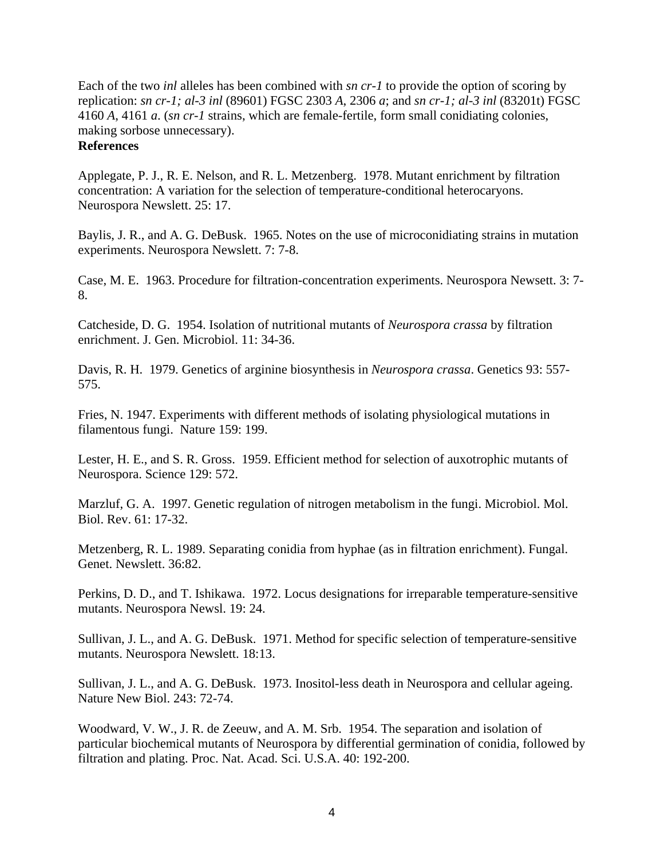Each of the two *inl* alleles has been combined with *sn cr-1* to provide the option of scoring by replication: *sn cr-1; al-3 inl* (89601) FGSC 2303 *A*, 2306 *a*; and *sn cr-1; al-3 inl* (83201t) FGSC 4160 *A*, 4161 *a*. (*sn cr-1* strains, which are female-fertile, form small conidiating colonies, making sorbose unnecessary). **References**

Applegate, P. J., R. E. Nelson, and R. L. Metzenberg. 1978. Mutant enrichment by filtration concentration: A variation for the selection of temperature-conditional heterocaryons. Neurospora Newslett. 25: 17.

Baylis, J. R., and A. G. DeBusk. 1965. Notes on the use of microconidiating strains in mutation experiments. Neurospora Newslett. 7: 7-8.

Case, M. E. 1963. Procedure for filtration-concentration experiments. Neurospora Newsett. 3: 7- 8.

Catcheside, D. G. 1954. Isolation of nutritional mutants of *Neurospora crassa* by filtration enrichment. J. Gen. Microbiol. 11: 34-36.

Davis, R. H. 1979. Genetics of arginine biosynthesis in *Neurospora crassa*. Genetics 93: 557- 575.

Fries, N. 1947. Experiments with different methods of isolating physiological mutations in filamentous fungi. Nature 159: 199.

Lester, H. E., and S. R. Gross. 1959. Efficient method for selection of auxotrophic mutants of Neurospora. Science 129: 572.

Marzluf, G. A. 1997. Genetic regulation of nitrogen metabolism in the fungi. Microbiol. Mol. Biol. Rev. 61: 17-32.

Metzenberg, R. L. 1989. Separating conidia from hyphae (as in filtration enrichment). Fungal. Genet. Newslett. 36:82.

Perkins, D. D., and T. Ishikawa. 1972. Locus designations for irreparable temperature-sensitive mutants. Neurospora Newsl. 19: 24.

Sullivan, J. L., and A. G. DeBusk. 1971. Method for specific selection of temperature-sensitive mutants. Neurospora Newslett. 18:13.

Sullivan, J. L., and A. G. DeBusk. 1973. Inositol-less death in Neurospora and cellular ageing. Nature New Biol. 243: 72-74.

Woodward, V. W., J. R. de Zeeuw, and A. M. Srb. 1954. The separation and isolation of particular biochemical mutants of Neurospora by differential germination of conidia, followed by filtration and plating. Proc. Nat. Acad. Sci. U.S.A. 40: 192-200.